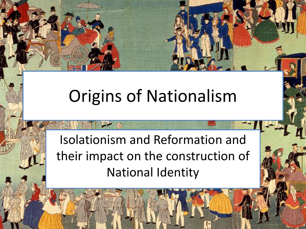# Origins of Nationalism

Isolationism and Reformation and their impact on the construction of National Identity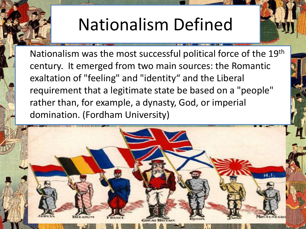## Nationalism Defined

Nationalism was the most successful political force of the 19th century. It emerged from two main sources: the Romantic exaltation of "feeling" and "identity" and the Liberal requirement that a legitimate state be based on a "people" rather than, for example, a dynasty, God, or imperial domination. (Fordham University)

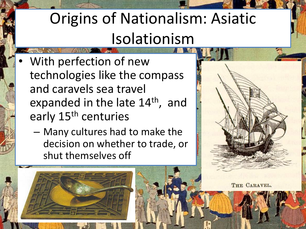#### Origins of Nationalism: Asiatic Isolationism

- With perfection of new technologies like the compass and caravels sea travel expanded in the late 14<sup>th</sup>, and early 15<sup>th</sup> centuries
	- Many cultures had to make the decision on whether to trade, or shut themselves off



THE CARAVEL.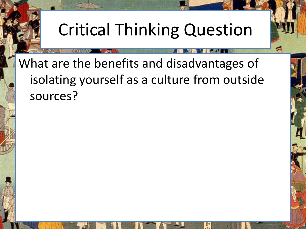# Critical Thinking Question

What are the benefits and disadvantages of isolating yourself as a culture from outside sources?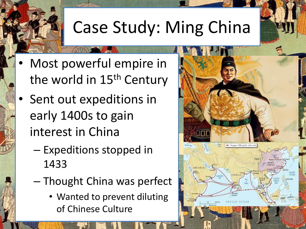# Case Study: Ming China

- Most powerful empire in the world in 15<sup>th</sup> Century
- Sent out expeditions in early 1400s to gain interest in China
	- Expeditions stopped in 1433
	- Thought China was perfect
		- Wanted to prevent diluting of Chinese Culture

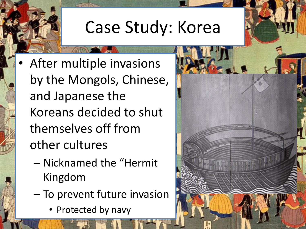## Case Study: Korea

- After multiple invasions by the Mongols, Chinese, and Japanese the Koreans decided to shut themselves off from other cultures
	- Nicknamed the "Hermit Kingdom
	- To prevent future invasion
		- Protected by navy

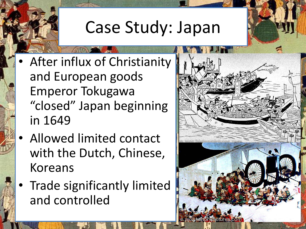## Case Study: Japan

- After influx of Christianity and European goods Emperor Tokugawa "closed" Japan beginning in 1649
- Allowed limited contact with the Dutch, Chinese, Koreans
- Trade significantly limited and controlled

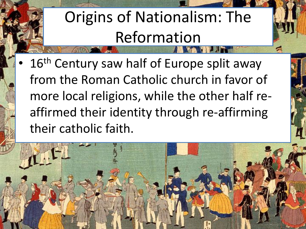# Origins of Nationalism: The Reformation

16<sup>th</sup> Century saw half of Europe split away from the Roman Catholic church in favor of more local religions, while the other half reaffirmed their identity through re-affirming their catholic faith.

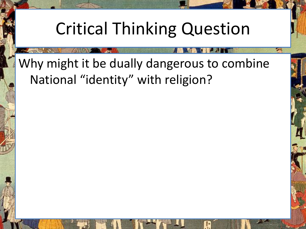#### Critical Thinking Question

#### Why might it be dually dangerous to combine National "identity" with religion?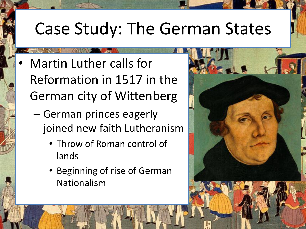#### Case Study: The German States

- Martin Luther calls for Reformation in 1517 in the German city of Wittenberg
	- German princes eagerly joined new faith Lutheranism
		- Throw of Roman control of lands
		- Beginning of rise of German Nationalism